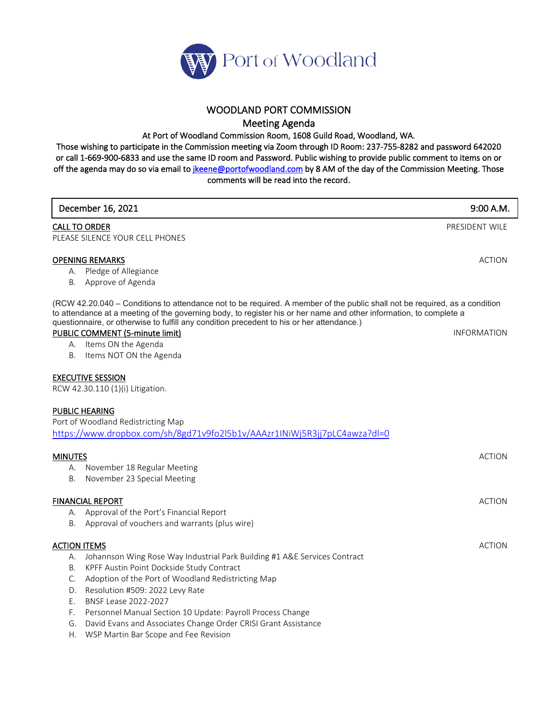

## WOODLAND PORT COMMISSION Meeting Agenda

At Port of Woodland Commission Room, 1608 Guild Road, Woodland, WA.

Those wishing to participate in the Commission meeting via Zoom through ID Room: 237-755-8282 and password 642020 or call 1-669-900-6833 and use the same ID room and Password. Public wishing to provide public comment to items on or off the agenda may do so via email to *jkeene@portofwoodland.com* by 8 AM of the day of the Commission Meeting. Those comments will be read into the record.

| December 16, 2021                                                                                                                                                                                                                                                                                                                             | 9:00 A.M.          |
|-----------------------------------------------------------------------------------------------------------------------------------------------------------------------------------------------------------------------------------------------------------------------------------------------------------------------------------------------|--------------------|
| <b>CALL TO ORDER</b>                                                                                                                                                                                                                                                                                                                          | PRESIDENT WILE     |
| PLEASE SILENCE YOUR CELL PHONES                                                                                                                                                                                                                                                                                                               |                    |
| <b>OPENING REMARKS</b>                                                                                                                                                                                                                                                                                                                        | <b>ACTION</b>      |
| A. Pledge of Allegiance                                                                                                                                                                                                                                                                                                                       |                    |
| B. Approve of Agenda                                                                                                                                                                                                                                                                                                                          |                    |
| (RCW 42.20.040 – Conditions to attendance not to be required. A member of the public shall not be required, as a condition<br>to attendance at a meeting of the governing body, to register his or her name and other information, to complete a<br>questionnaire, or otherwise to fulfill any condition precedent to his or her attendance.) |                    |
| PUBLIC COMMENT (5-minute limit)                                                                                                                                                                                                                                                                                                               | <b>INFORMATION</b> |
| A. Items ON the Agenda                                                                                                                                                                                                                                                                                                                        |                    |
| B. Items NOT ON the Agenda                                                                                                                                                                                                                                                                                                                    |                    |
| <b>EXECUTIVE SESSION</b><br>RCW 42.30.110 (1)(i) Litigation.                                                                                                                                                                                                                                                                                  |                    |
| <b>PUBLIC HEARING</b>                                                                                                                                                                                                                                                                                                                         |                    |
| Port of Woodland Redistricting Map                                                                                                                                                                                                                                                                                                            |                    |
| https://www.dropbox.com/sh/8gd71v9fo2l5b1v/AAAzr1INiWj5R3jj7pLC4awza?dl=0                                                                                                                                                                                                                                                                     |                    |
|                                                                                                                                                                                                                                                                                                                                               |                    |
| <b>MINUTES</b><br>A. November 18 Regular Meeting                                                                                                                                                                                                                                                                                              | <b>ACTION</b>      |
| November 23 Special Meeting<br>В.                                                                                                                                                                                                                                                                                                             |                    |
|                                                                                                                                                                                                                                                                                                                                               |                    |
| <b>FINANCIAL REPORT</b>                                                                                                                                                                                                                                                                                                                       | <b>ACTION</b>      |
| A. Approval of the Port's Financial Report                                                                                                                                                                                                                                                                                                    |                    |
| B. Approval of vouchers and warrants (plus wire)                                                                                                                                                                                                                                                                                              |                    |
| <b>ACTION ITEMS</b>                                                                                                                                                                                                                                                                                                                           | <b>ACTION</b>      |
| A. Johannson Wing Rose Way Industrial Park Building #1 A&E Services Contract                                                                                                                                                                                                                                                                  |                    |
| KPFF Austin Point Dockside Study Contract<br>В.                                                                                                                                                                                                                                                                                               |                    |
| Adoption of the Port of Woodland Redistricting Map<br>C.                                                                                                                                                                                                                                                                                      |                    |
| Resolution #509: 2022 Levy Rate<br>D.                                                                                                                                                                                                                                                                                                         |                    |
| BNSF Lease 2022-2027<br>Ε.                                                                                                                                                                                                                                                                                                                    |                    |
| Personnel Manual Section 10 Update: Payroll Process Change<br>F.                                                                                                                                                                                                                                                                              |                    |
| David Evans and Associates Change Order CRISI Grant Assistance<br>G.                                                                                                                                                                                                                                                                          |                    |
| WSP Martin Bar Scope and Fee Revision<br>Н.                                                                                                                                                                                                                                                                                                   |                    |